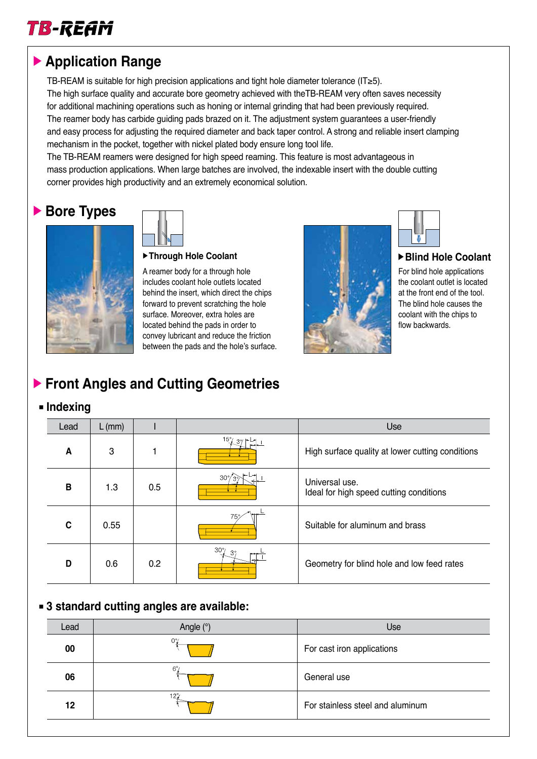

# **Application Range**

TB-REAM is suitable for high precision applications and tight hole diameter tolerance (IT≥5). The high surface quality and accurate bore geometry achieved with theTB-REAM very often saves necessity for additional machining operations such as honing or internal grinding that had been previously required. The reamer body has carbide guiding pads brazed on it. The adjustment system guarantees a user-friendly and easy process for adjusting the required diameter and back taper control. A strong and reliable insert clamping mechanism in the pocket, together with nickel plated body ensure long tool life.

The TB-REAM reamers were designed for high speed reaming. This feature is most advantageous in mass production applications. When large batches are involved, the indexable insert with the double cutting corner provides high productivity and an extremely economical solution.

# ▶ Bore Types



**Through Hole Coolant**

A reamer body for a through hole includes coolant hole outlets located behind the insert, which direct the chips forward to prevent scratching the hole surface. Moreover, extra holes are located behind the pads in order to convey lubricant and reduce the friction between the pads and the hole's surface.





#### **Blind Hole Coolant**

For blind hole applications the coolant outlet is located at the front end of the tool. The blind hole causes the coolant with the chips to flow backwards.

# **Front Angles and Cutting Geometries**

#### $\blacksquare$  Indexing

| Lead | $L$ (mm) |     |                             | Use                                                       |
|------|----------|-----|-----------------------------|-----------------------------------------------------------|
| A    | 3        |     | $15^{\circ}$ / 39   + L + 1 | High surface quality at lower cutting conditions          |
| В    | 1.3      | 0.5 | $30^{\circ}$                | Universal use.<br>Ideal for high speed cutting conditions |
| C    | 0.55     |     | 75%                         | Suitable for aluminum and brass                           |
| D    | 0.6      | 0.2 | $30^\circ$<br>$3^\circ$     | Geometry for blind hole and low feed rates                |

### **3 standard cutting angles are available:**

| Lead | Angle $(°)$    | Use                              |
|------|----------------|----------------------------------|
| 00   | $O\frac{9}{2}$ | For cast iron applications       |
| 06   | $6^\circ$      | General use                      |
| 12   | $12^{\circ}$   | For stainless steel and aluminum |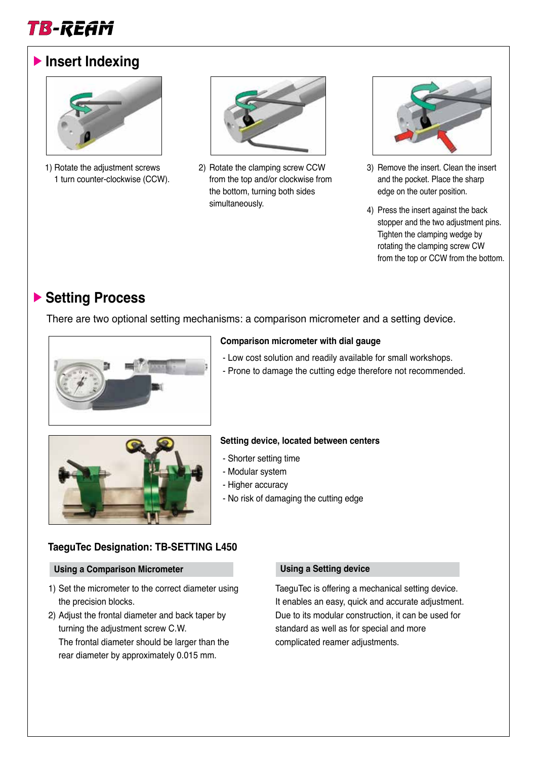

## **Insert Indexing**



1) Rotate the adjustment screws 1 turn counter-clockwise (CCW).



2) Rotate the clamping screw CCW from the top and/or clockwise from the bottom, turning both sides simultaneously.



- 3) Remove the insert. Clean the insert and the pocket. Place the sharp edge on the outer position.
- 4) Press the insert against the back stopper and the two adjustment pins. Tighten the clamping wedge by rotating the clamping screw CW from the top or CCW from the bottom.

# ▶ Setting Process

There are two optional setting mechanisms: a comparison micrometer and a setting device.



#### **Comparison micrometer with dial gauge**

- Low cost solution and readily available for small workshops.
- Prone to damage the cutting edge therefore not recommended.



#### **Setting device, located between centers**

- Shorter setting time
- Modular system
- Higher accuracy
- No risk of damaging the cutting edge

#### **TaeguTec Designation: TB-SETTING L450**

#### **Using a Comparison Micrometer Using a Setting device**

- 1) Set the micrometer to the correct diameter using the precision blocks.
- 2) Adjust the frontal diameter and back taper by turning the adjustment screw C.W.

The frontal diameter should be larger than the rear diameter by approximately 0.015 mm.

TaeguTec is offering a mechanical setting device. It enables an easy, quick and accurate adjustment. Due to its modular construction, it can be used for standard as well as for special and more complicated reamer adjustments.